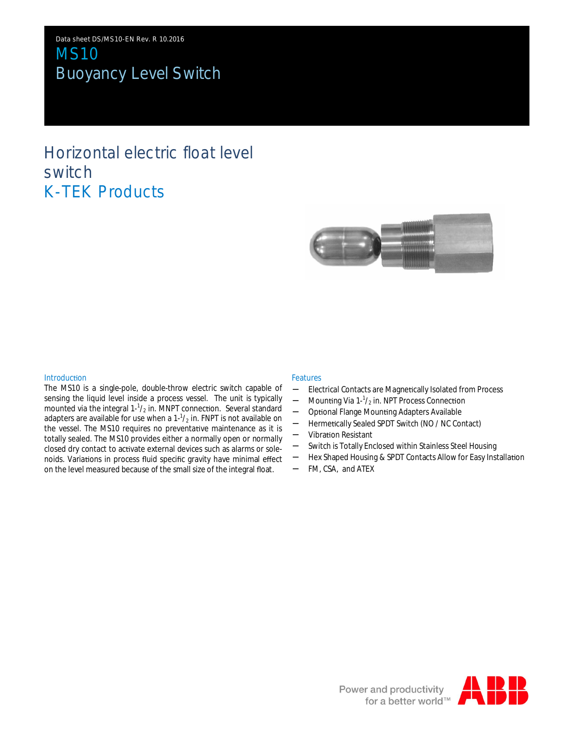Data sheet DS/MS10-EN Rev. R 10.2016 MS10 Buoyancy Level Switch

# Horizontal electric float level switch K-TEK Products



### **Introduction**

The MS10 is a single-pole, double-throw electric switch capable of sensing the liquid level inside a process vessel. The unit is typically mounted via the integral  $1-\frac{1}{2}$  in. MNPT connection. Several standard adapters are available for use when a  $1\frac{1}{2}$  in. FNPT is not available on the vessel. The MS10 requires no preventative maintenance as it is totally sealed. The MS10 provides either a normally open or normally closed dry contact to activate external devices such as alarms or solenoids. Variations in process fluid specific gravity have minimal effect on the level measured because of the small size of the integral float.

### Features

- Electrical Contacts are Magnetically Isolated from Process
- Mounting Via  $1-\frac{1}{2}$  in. NPT Process Connection
- Optional Flange Mounting Adapters Available
- Hermetically Sealed SPDT Switch (NO / NC Contact)
- Vibration Resistant
- Switch is Totally Enclosed within Stainless Steel Housing
- Hex Shaped Housing & SPDT Contacts Allow for Easy Installation
- FM, CSA, and ATEX

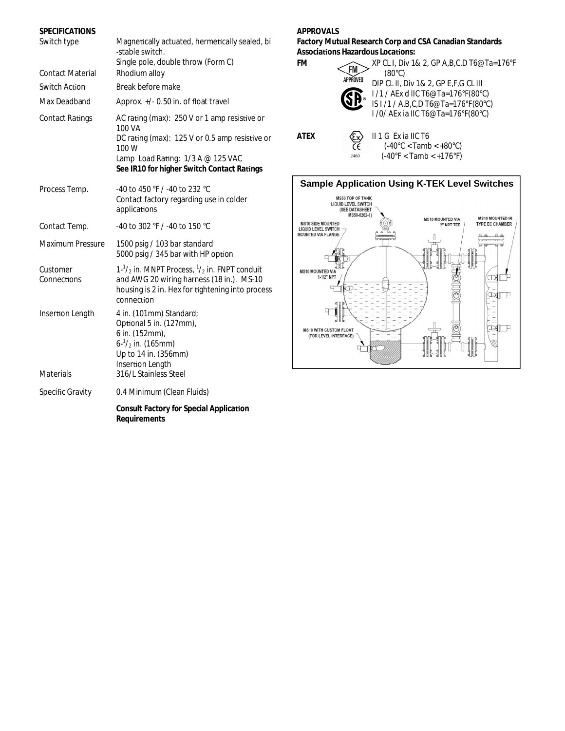| <b>SPECIFICATIONS</b>   |                                                                                                                                                                                                      |
|-------------------------|------------------------------------------------------------------------------------------------------------------------------------------------------------------------------------------------------|
| Switch type             | Magnetically actuated, hermetically sealed, bi<br>-stable switch.<br>Single pole, double throw (Form C)                                                                                              |
| <b>Contact Material</b> | Rhodium alloy                                                                                                                                                                                        |
| Switch Action           | Break before make                                                                                                                                                                                    |
| Max Deadband            | Approx. +/- 0.50 in. of float travel                                                                                                                                                                 |
| <b>Contact Ratings</b>  | AC rating (max): 250 V or 1 amp resistive or<br>100 VA<br>DC rating (max): 125 V or 0.5 amp resistive or<br>100 W<br>Lamp Load Rating: 1/3 A @ 125 VAC<br>See IR10 for higher Switch Contact Ratings |
| Process Temp.           | -40 to 450 °F / -40 to 232 °C<br>Contact factory regarding use in colder<br>applications                                                                                                             |
| Contact Temp.           | -40 to 302 °F / -40 to 150 °C                                                                                                                                                                        |
| <b>Maximum Pressure</b> | 1500 psig / 103 bar standard<br>5000 psig / 345 bar with HP option                                                                                                                                   |
| Customer<br>Connections | $1-\frac{1}{2}$ in. MNPT Process, $\frac{1}{2}$ in. FNPT conduit<br>and AWG 20 wiring harness (18 in.). MS-10<br>housing is 2 in. Hex for tightening into process<br>connection                      |
| Insertion Length        | 4 in. (101mm) Standard;<br>Optional 5 in. (127mm),<br>6 in. (152mm),<br>$6 - \frac{1}{2}$ in. (165mm)<br>Up to 14 in. (356mm)<br>Insertion Length                                                    |
| <b>Materials</b>        | 316/L Stainless Steel                                                                                                                                                                                |
| <b>Specific Gravity</b> | 0.4 Minimum (Clean Fluids)                                                                                                                                                                           |
|                         | Consult Factory for Special Application<br>Requirements                                                                                                                                              |

## **APPROVALS**

**Factory Mutual Research Corp and CSA Canadian Standards AssociaƟons Hazardous LocaƟons:**



(80°C) DIP CL II, Div 1& 2, GP E,F,G CL III I /1 / AEx d IIC T6@Ta=176°F(80°C) IS I /1 / A,B,C,D T6@Ta=176°F(80°C) I /0/ AEx ia IIC T6@Ta=176°F(80°C)

**ATEX ATEX ATEX EX II 1 G** Ex ia IIC T6  $(-40^{\circ}$ C < Tamb <  $+80^{\circ}$ C) 2460  $(-40^{\circ}F <$  Tamb  $<$  +176 $^{\circ}F$ )

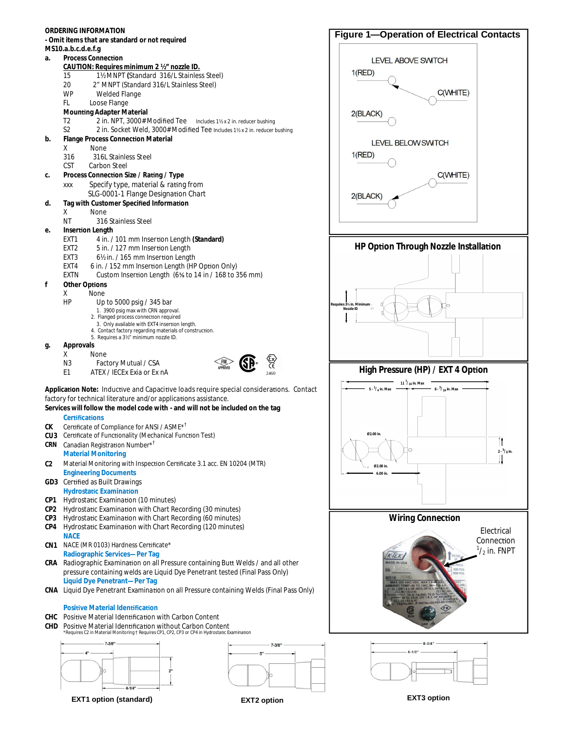

**EXT1 option (standard) EXT2 option EXT3 option**